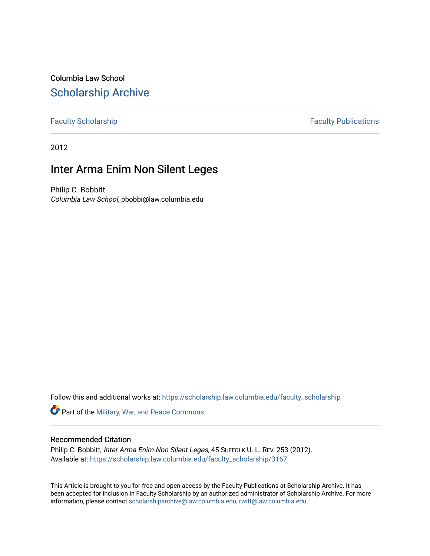Columbia Law School [Scholarship Archive](https://scholarship.law.columbia.edu/) 

[Faculty Scholarship](https://scholarship.law.columbia.edu/faculty_scholarship) **Faculty Publications** 

2012

## Inter Arma Enim Non Silent Leges

Philip C. Bobbitt Columbia Law School, pbobbi@law.columbia.edu

Follow this and additional works at: [https://scholarship.law.columbia.edu/faculty\\_scholarship](https://scholarship.law.columbia.edu/faculty_scholarship?utm_source=scholarship.law.columbia.edu%2Ffaculty_scholarship%2F3167&utm_medium=PDF&utm_campaign=PDFCoverPages)

Part of the [Military, War, and Peace Commons](http://network.bepress.com/hgg/discipline/861?utm_source=scholarship.law.columbia.edu%2Ffaculty_scholarship%2F3167&utm_medium=PDF&utm_campaign=PDFCoverPages) 

### Recommended Citation

Philip C. Bobbitt, Inter Arma Enim Non Silent Leges, 45 SUFFOLK U. L. REV. 253 (2012). Available at: [https://scholarship.law.columbia.edu/faculty\\_scholarship/3167](https://scholarship.law.columbia.edu/faculty_scholarship/3167?utm_source=scholarship.law.columbia.edu%2Ffaculty_scholarship%2F3167&utm_medium=PDF&utm_campaign=PDFCoverPages)

This Article is brought to you for free and open access by the Faculty Publications at Scholarship Archive. It has been accepted for inclusion in Faculty Scholarship by an authorized administrator of Scholarship Archive. For more information, please contact [scholarshiparchive@law.columbia.edu, rwitt@law.columbia.edu](mailto:scholarshiparchive@law.columbia.edu,%20rwitt@law.columbia.edu).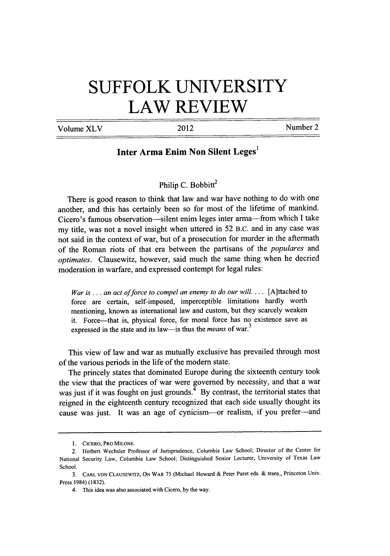# **SUFFOLK UNIVERSITY LAW REVIEW**

Volume XLV 2012 2012

## **Inter Arma Enim Non Silent Leges'**

#### Philip C. Bobbitt<sup>2</sup>

There is good reason to think that law and war have nothing to do with one another, and this has certainly been so for most of the lifetime of mankind. Cicero's famous observation-silent enim leges inter arma-from which I take my title, was not a novel insight when uttered in 52 B.C. and in any case was not said in the context of war, but of a prosecution for murder in the aftermath of the Roman riots of that era between the partisans of the *populares* and *optimates.* Clausewitz, however, said much the same thing when he decried moderation in warfare, and expressed contempt for legal rules:

*War is... an act offorce to compel an enemy to do our will....* [A]ttached to force are certain, self-imposed, imperceptible limitations hardly worth mentioning, known as international law and custom, but they scarcely weaken it. Force-that is, physical force, for moral force has no existence save as expressed in the state and its law-is thus the *means* of war.<sup>3</sup>

This view of law and war as mutually exclusive has prevailed through most of the various periods in the life of the modem state.

The princely states that dominated Europe during the sixteenth century took the view that the practices of war were governed by necessity, and that a war was just if it was fought on just grounds.<sup>4</sup> By contrast, the territorial states that reigned in the eighteenth century recognized that each side usually thought its cause was just. It was an age of cynicism--or realism, if you prefer-and

<sup>1.</sup> CICERO, PRO **MILONE.**

<sup>2.</sup> Herbert Wechsler Professor of Jurisprudence, Columbia Law School; Director of the Center for National Security Law, Columbia Law School; Distinguished Senior Lecturer, University of Texas Law School.

<sup>3.</sup> CARL **VON CLAUSEWITZ,** ON WAR 75 (Michael Howard & Peter Paret eds. & trans., Princeton Univ. Press 1984) (1832).

<sup>4.</sup> This idea was also associated with Cicero, by the way.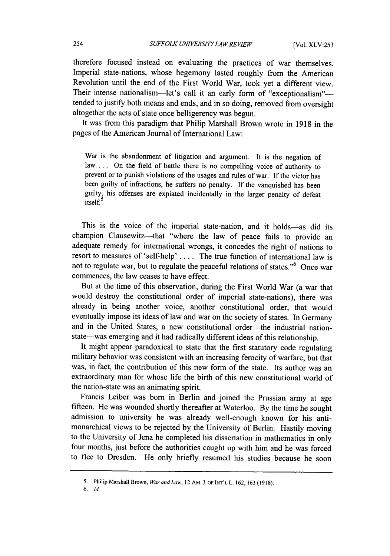therefore focused instead on evaluating the practices of war themselves. Imperial state-nations, whose hegemony lasted roughly from the American Revolution until the end of the First World War, took yet a different view. Their intense nationalism-let's call it an early form of "exceptionalism"tended to justify both means and ends, and in so doing, removed from oversight altogether the acts of state once belligerency was begun.

It was from this paradigm that Philip Marshall Brown wrote in 1918 in the pages of the American Journal of International Law:

War is the abandonment of litigation and argument. It is the negation of law.... On the field of battle there is no compelling voice of authority to prevent or to punish violations of the usages and rules of war. If the victor has been guilty of infractions, he suffers no penalty. If the vanquished has been guilty, his offenses are expiated incidentally in the larger penalty of defeat itself.

This is the voice of the imperial state-nation, and it holds-as did its champion Clausewitz-that "where the law of peace fails to provide an adequate remedy for international wrongs, it concedes the right of nations to resort to measures of 'self-help' ... . The true function of international law is not to regulate war, but to regulate the peaceful relations of states."<sup>6</sup> Once war commences, the law ceases to have effect.

But at the time of this observation, during the First World War (a war that would destroy the constitutional order of imperial state-nations), there was already in being another voice, another constitutional order, that would eventually impose its ideas of law and war on the society of states. In Germany and in the United States, a new constitutional order-the industrial nationstate-was emerging and it had radically different ideas of this relationship.

It might appear paradoxical to state that the first statutory code regulating military behavior was consistent with an increasing ferocity of warfare, but that was, in fact, the contribution of this new form of the state. Its author was an extraordinary man for whose life the birth of this new constitutional world of the nation-state was an animating spirit.

Francis Leiber was bom in Berlin and joined the Prussian army at age fifteen. He was wounded shortly thereafter at Waterloo. By the time he sought admission to university he was already well-enough known for his antimonarchical views to be rejected by the University of Berlin. Hastily moving to the University of Jena he completed his dissertation in mathematics in only four months, just before the authorities caught up with him and he was forced to flee to Dresden. He only briefly resumed his studies because he soon

*6. Id*

**<sup>5.</sup>** Philip Marshall Brown, *War andLaw,* 12 **AM. J.** OF **INT'L** L. **162, 163 (1918).**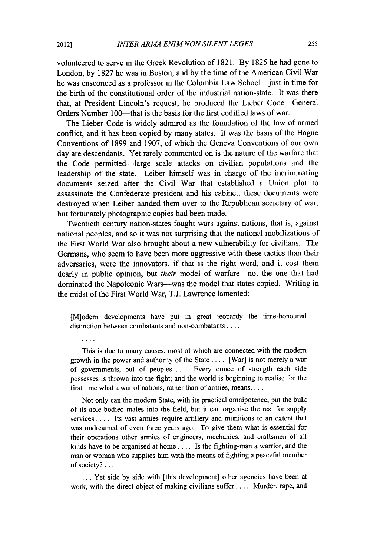volunteered to serve in the Greek Revolution of **1821. By 1825** he had gone to London, **by 1827** he was in Boston, and **by** the time of the American Civil War he was ensconced as a professor in the Columbia Law School-just in time for the birth of the constitutional order of the industrial nation-state. It was there that, at President Lincoln's request, he produced the Lieber Code--General Orders Number 100—that is the basis for the first codified laws of war.

The Lieber Code is widely admired as the foundation of the law of armed conflict, and it has been copied **by** many states. It was the basis of the Hague Conventions of **1899** and **1907,** of which the Geneva Conventions of our own day are descendants. Yet rarely commented on is the nature of the warfare that the Code permitted-large scale attacks on civilian populations and the leadership of the state. Leiber himself was in charge of the incriminating documents seized after the Civil War that established a Union plot to assassinate the Confederate president and his cabinet; these documents were destroyed when Leiber handed them over to the Republican secretary of war, but fortunately photographic copies had been made.

Twentieth century nation-states fought wars against nations, that is, against national peoples, and so it was not surprising that the national mobilizations of the First World War also brought about a new vulnerability for civilians. The Germans, who seem to have been more aggressive with these tactics than their adversaries, were the innovators, if that is the right word, and it cost them dearly in public opinion, but *their* model of warfare-not the one that had dominated the Napoleonic Wars—was the model that states copied. Writing in the midst of the First World War, **T.J.** Lawrence lamented:

[M]odem developments have put in great jeopardy the time-honoured distinction between combatants and non-combatants **....**

This is due to many causes, most of which are connected with the modem growth in the power and authority of the State **....** [War] is not merely a war of governments, but of peoples.... Every ounce of strength each side possesses is thrown into the fight; and the world is beginning to realise for the first time what a war of nations, rather than of armies, **means....**

Not only can the modem State, with its practical omnipotence, put the bulk of its able-bodied males into the field, but it can organise the rest for supply services **....** Its vast armies require artillery and munitions to an extent that was undreamed of even three years ago. To give them what is essential for their operations other armies of engineers, mechanics, and craftsmen of all kinds have to be organised at home **....** Is the fighting-man a warrior, and the man or woman who supplies him with the means of fighting a peaceful member of society?...

**...** Yet side **by** side with [this development] other agencies have been at work, with the direct object of making civilians suffer **....** Murder, rape, and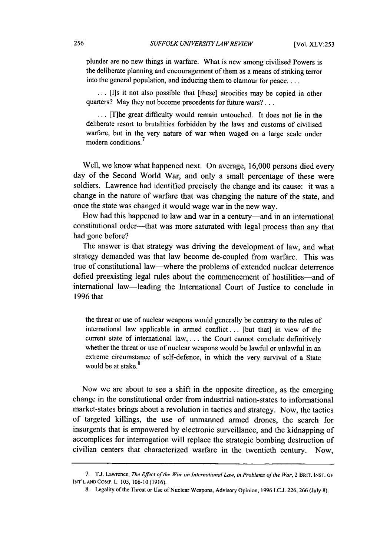plunder are no new things in warfare. What is new among civilised Powers is the deliberate planning and encouragement of them as a means of striking terror into the general population, and inducing them to clamour for **peace....**

... [I]s it not also possible that [these] atrocities may be copied in other quarters? May they not become precedents for future wars?...

**...** [T]he great difficulty would remain untouched. It does not lie in the deliberate resort to brutalities forbidden by the laws and customs of civilised warfare, but in the very nature of war when waged on a large scale under modern conditions.

Well, we know what happened next. On average, 16,000 persons died every day of the Second World War, and only a small percentage of these were soldiers. Lawrence had identified precisely the change and its cause: it was a change in the nature of warfare that was changing the nature of the state, and once the state was changed it would wage war in the new way.

How had this happened to law and war in a century-and in an international constitutional order---that was more saturated with legal process than any that had gone before?

The answer is that strategy was driving the development of law, and what strategy demanded was that law become de-coupled from warfare. This was true of constitutional law-where the problems of extended nuclear deterrence defied preexisting legal rules about the commencement of hostilities—and of international law-leading the International Court of Justice to conclude in 1996 that

the threat or use of nuclear weapons would generally be contrary to the rules of international law applicable in armed conflict... [but that] in view of the current state of international law, ... the Court cannot conclude definitively whether the threat or use of nuclear weapons would be lawful or unlawful in an extreme circumstance of self-defence, in which the very survival of a State would be at stake.<sup>8</sup>

Now we are about to see a shift in the opposite direction, as the emerging change in the constitutional order from industrial nation-states to informational market-states brings about a revolution in tactics and strategy. Now, the tactics of targeted killings, the use of unmanned armed drones, the search for insurgents that is empowered by electronic surveillance, and the kidnapping of accomplices for interrogation will replace the strategic bombing destruction of civilian centers that characterized warfare in the twentieth century. Now,

<sup>7.</sup> T.J. Lawrence, *The Effect of the War on International Law, in Problems of the War,* 2 BRIT. **INST.** OF **INT'L AND** COMP. L. 105, 106-10 (1916).

<sup>8.</sup> Legality of the Threat or Use of Nuclear Weapons, Advisory Opinion, 1996 I.C.J. 226, 266 (July 8).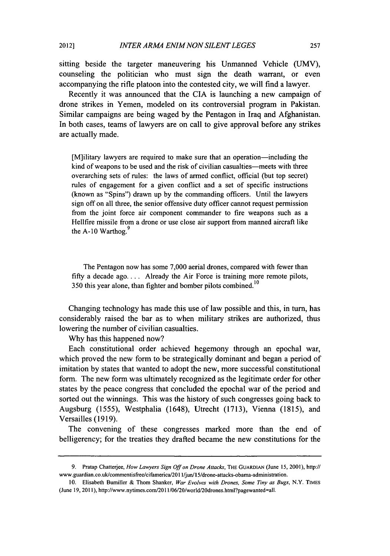sitting beside the targeter maneuvering his Unmanned Vehicle (UMV), counseling the politician who must sign the death warrant, or even accompanying the rifle platoon into the contested city, we will find a lawyer.

Recently it was announced that the CIA is launching a new campaign of drone strikes in Yemen, modeled on its controversial program in Pakistan. Similar campaigns are being waged by the Pentagon in Iraq and Afghanistan. In both cases, teams of lawyers are on call to give approval before any strikes are actually made.

[M]ilitary lawyers are required to make sure that an operation-including the kind of weapons to be used and the risk of civilian casualties—meets with three overarching sets of rules: the laws of armed conflict, official (but top secret) rules of engagement for a given conflict and a set of specific instructions (known as "Spins") drawn up by the commanding officers. Until the lawyers sign off on all three, the senior offensive duty officer cannot request permission from the joint force air component commander to fire weapons such as a Hellfire missile from a drone or use close air support from manned aircraft like the A-10 Warthog.<sup>9</sup>

The Pentagon now has some 7,000 aerial drones, compared with fewer than fifty a decade ago.... Already the Air Force is training more remote pilots, 350 this year alone, than fighter and bomber pilots combined.<sup>10</sup>

Changing technology has made this use of law possible and this, in turn, has considerably raised the bar as to when military strikes are authorized, thus lowering the number of civilian casualties.

Why has this happened now?

Each constitutional order achieved hegemony through an epochal war, which proved the new form to be strategically dominant and began a period of imitation by states that wanted to adopt the new, more successful constitutional form. The new form was ultimately recognized as the legitimate order for other states by the peace congress that concluded the epochal war of the period and sorted out the winnings. This was the history of such congresses going back to Augsburg (1555), Westphalia (1648), Utrecht (1713), Vienna (1815), and Versailles (1919).

The convening of these congresses marked more than the end of belligerency; for the treaties they drafted became the new constitutions for the

**<sup>9.</sup>** Pratap Chatterjee, *How Lawyers Sign Offon Drone Attacks,* THE GUARDIAN (June 15, 2001), http:// www.guardian.co.uk/commentisfree/cifamerica/201 l/jun/15/drone-attacks-obama-administration.

<sup>10.</sup> Elisabeth Bumiller & Thom Shanker, *War* Evolves with *Drones, Some Tiny as Bugs,* N.Y. TIMES (June 19, 2011), http://www.nytimes.com/2011/06/20/world/20drones.html?pagewanted=all.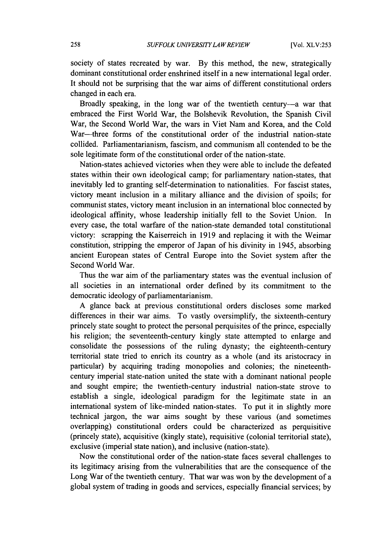society of states recreated by war. By this method, the new, strategically dominant constitutional order enshrined itself in a new international legal order. It should not be surprising that the war aims of different constitutional orders changed in each era.

Broadly speaking, in the long war of the twentieth century-a war that embraced the First World War, the Bolshevik Revolution, the Spanish Civil War, the Second World War, the wars in Viet Nam and Korea, and the Cold War-three forms of the constitutional order of the industrial nation-state collided. Parliamentarianism, fascism, and communism all contended to be the sole legitimate form of the constitutional order of the nation-state.

Nation-states achieved victories when they were able to include the defeated states within their own ideological camp; for parliamentary nation-states, that inevitably led to granting self-determination to nationalities. For fascist states, victory meant inclusion in a military alliance and the division of spoils; for communist states, victory meant inclusion in an international bloc connected by ideological affinity, whose leadership initially fell to the Soviet Union. In every case, the total warfare of the nation-state demanded total constitutional victory: scrapping the Kaiserreich in 1919 and replacing it with the Weimar constitution, stripping the emperor of Japan of his divinity in 1945, absorbing ancient European states of Central Europe into the Soviet system after the Second World War.

Thus the war aim of the parliamentary states was the eventual inclusion of all societies in an international order defined by its commitment to the democratic ideology of parliamentarianism.

A glance back at previous constitutional orders discloses some marked differences in their war aims. To vastly oversimplify, the sixteenth-century princely state sought to protect the personal perquisites of the prince, especially his religion; the seventeenth-century kingly state attempted to enlarge and consolidate the possessions of the ruling dynasty; the eighteenth-century territorial state tried to enrich its country as a whole (and its aristocracy in particular) by acquiring trading monopolies and colonies; the nineteenthcentury imperial state-nation united the state with a dominant national people and sought empire; the twentieth-century industrial nation-state strove to establish a single, ideological paradigm for the legitimate state in an international system of like-minded nation-states. To put it in slightly more technical jargon, the war aims sought by these various (and sometimes overlapping) constitutional orders could be characterized as perquisitive (princely state), acquisitive (kingly state), requisitive (colonial territorial state), exclusive (imperial state nation), and inclusive (nation-state).

Now the constitutional order of the nation-state faces several challenges to its legitimacy arising from the vulnerabilities that are the consequence of the Long War of the twentieth century. That war was won by the development of a global system of trading in goods and services, especially financial services; by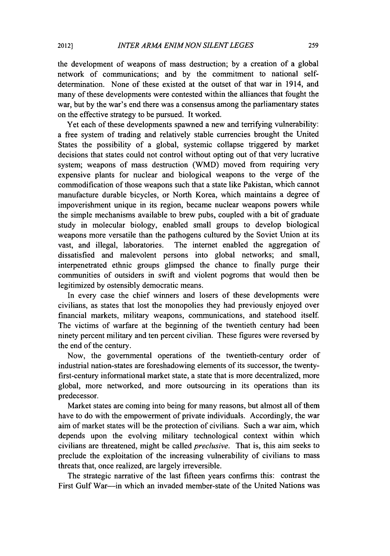the development of weapons of mass destruction; by a creation of a global network of communications; and by the commitment to national selfdetermination. None of these existed at the outset of that war in 1914, and many of these developments were contested within the alliances that fought the war, but by the war's end there was a consensus among the parliamentary states on the effective strategy to be pursued. It worked.

Yet each of these developments spawned a new and terrifying vulnerability: a free system of trading and relatively stable currencies brought the United States the possibility of a global, systemic collapse triggered by market decisions that states could not control without opting out of that very lucrative system; weapons of mass destruction (WMD) moved from requiring very expensive plants for nuclear and biological weapons to the verge of the commodification of those weapons such that a state like Pakistan, which cannot manufacture durable bicycles, or North Korea, which maintains a degree of impoverishment unique in its region, became nuclear weapons powers while the simple mechanisms available to brew pubs, coupled with a bit of graduate study in molecular biology, enabled small groups to develop biological weapons more versatile than the pathogens cultured by the Soviet Union at its vast, and illegal, laboratories. The internet enabled the aggregation of dissatisfied and malevolent persons into global networks; and small, interpenetrated ethnic groups glimpsed the chance to finally purge their communities of outsiders in swift and violent pogroms that would then be legitimized by ostensibly democratic means.

In every case the chief winners and losers of these developments were civilians, as states that lost the monopolies they had previously enjoyed over financial markets, military weapons, communications, and statehood itself. The victims of warfare at the beginning of the twentieth century had been ninety percent military and ten percent civilian. These figures were reversed by the end of the century.

Now, the governmental operations of the twentieth-century order of industrial nation-states are foreshadowing elements of its successor, the twentyfirst-century informational market state, a state that is more decentralized, more global, more networked, and more outsourcing in its operations than its predecessor.

Market states are coming into being for many reasons, but almost all of them have to do with the empowerment of private individuals. Accordingly, the war aim of market states will be the protection of civilians. Such a war aim, which depends upon the evolving military technological context within which civilians are threatened, might be called *preclusive.* That is, this aim seeks to preclude the exploitation of the increasing vulnerability of civilians to mass threats that, once realized, are largely irreversible.

The strategic narrative of the last fifteen years confirms this: contrast the First Gulf War-in which an invaded member-state of the United Nations was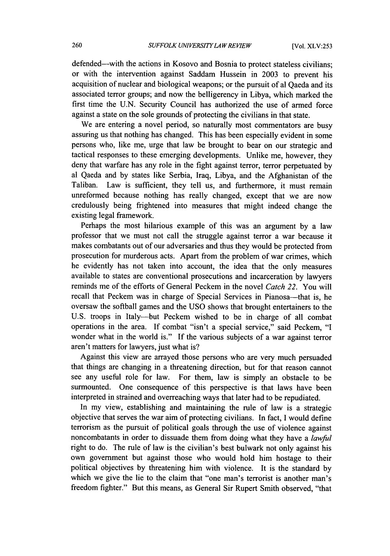defended-with the actions in Kosovo and Bosnia to protect stateless civilians; or with the intervention against Saddam Hussein in 2003 to prevent his acquisition of nuclear and biological weapons; or the pursuit of al Qaeda and its associated terror groups; and now the belligerency in Libya, which marked the first time the U.N. Security Council has authorized the use of armed force against a state on the sole grounds of protecting the civilians in that state.

We are entering a novel period, so naturally most commentators are busy assuring us that nothing has changed. This has been especially evident in some persons who, like me, urge that law be brought to bear on our strategic and tactical responses to these emerging developments. Unlike me, however, they deny that warfare has any role in the fight against terror, terror perpetuated by al Qaeda and by states like Serbia, Iraq, Libya, and the Afghanistan of the Taliban. Law is sufficient, they tell us, and furthermore, it must remain unreformed because nothing has really changed, except that we are now credulously being frightened into measures that might indeed change the existing legal framework.

Perhaps the most hilarious example of this was an argument by a law professor that we must not call the struggle against terror a war because it makes combatants out of our adversaries and thus they would be protected from prosecution for murderous acts. Apart from the problem of war crimes, which he evidently has not taken into account, the idea that the only measures available to states are conventional prosecutions and incarceration by lawyers reminds me of the efforts of General Peckem in the novel *Catch 22.* You will recall that Peckem was in charge of Special Services in Pianosa—that is, he oversaw the softball games and the USO shows that brought entertainers to the U.S. troops in Italy-but Peckem wished to be in charge of all combat operations in the area. If combat "isn't a special service," said Peckem, "I wonder what in the world is." If the various subjects of a war against terror aren't matters for lawyers, just what is?

Against this view are arrayed those persons who are very much persuaded that things are changing in a threatening direction, but for that reason cannot see any useful role for law. For them, law is simply an obstacle to be surmounted. One consequence of this perspective is that laws have been interpreted in strained and overreaching ways that later had to be repudiated.

In my view, establishing and maintaining the rule of law is a strategic objective that serves the war aim of protecting civilians. In fact, I would define terrorism as the pursuit of political goals through the use of violence against noncombatants in order to dissuade them from doing what they have a *lawful* right to do. The rule of law is the civilian's best bulwark not only against his own government but against those who would hold him hostage to their political objectives by threatening him with violence. It is the standard by which we give the lie to the claim that "one man's terrorist is another man's freedom fighter." But this means, as General Sir Rupert Smith observed, "that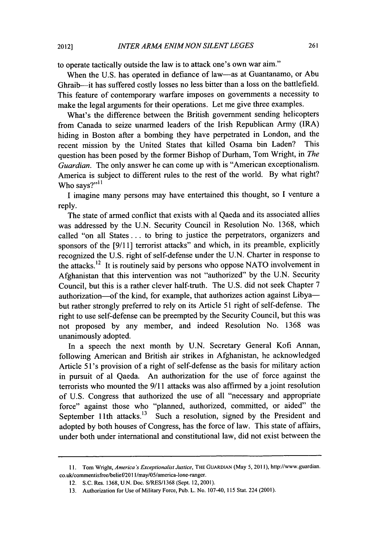to operate tactically outside the law is to attack one's own war aim."

When the U.S. has operated in defiance of law-as at Guantanamo, or Abu Ghraib-it has suffered costly losses no less bitter than a loss on the battlefield. This feature of contemporary warfare imposes on governments a necessity to make the legal arguments for their operations. Let me give three examples.

What's the difference between the British government sending helicopters from Canada to seize unarmed leaders of the Irish Republican Army (IRA) hiding in Boston after a bombing they have perpetrated in London, and the recent mission by the United States that killed Osama bin Laden? This question has been posed by the former Bishop of Durham, Tom Wright, in *The Guardian.* The only answer he can come up with is "American exceptionalism. America is subject to different rules to the rest of the world. By what right? Who says?"<sup>11</sup>

I imagine many persons may have entertained this thought, so I venture a reply.

The state of armed conflict that exists with al Qaeda and its associated allies was addressed by the U.N. Security Council in Resolution No. 1368, which called "on all States **...** to bring to justice the perpetrators, organizers and sponsors of the [9/11] terrorist attacks" and which, in its preamble, explicitly recognized the U.S. right of self-defense under the U.N. Charter in response to the attacks.<sup>12</sup> It is routinely said by persons who oppose NATO involvement in Afghanistan that this intervention was not "authorized" by the U.N. Security Council, but this is a rather clever half-truth. The U.S. did not seek Chapter 7 authorization-of the kind, for example, that authorizes action against Libyabut rather strongly preferred to rely on its Article 51 right of self-defense. The right to use self-defense can be preempted by the Security Council, but this was not proposed by any member, and indeed Resolution No. 1368 was unanimously adopted.

In a speech the next month by U.N. Secretary General Kofi Annan, following American and British air strikes in Afghanistan, he acknowledged Article 51 's provision of a right of self-defense as the basis for military action in pursuit of al Qaeda. An authorization for the use of force against the terrorists who mounted the 9/11 attacks was also affirmed by a joint resolution of U.S. Congress that authorized the use of all "necessary and appropriate force" against those who "planned, authorized, committed, or aided" the September 11th attacks.<sup>13</sup> Such a resolution, signed by the President and adopted by both houses of Congress, has the force of law. This state of affairs, under both under international and constitutional law, did not exist between the

<sup>11.</sup> Tom Wright, *America's* Exceptionalist Justice, THE GUARDIAN (May 5, 2011), http://www.guardian. co.uk/commentisfree/belief/201 1/may/05/america-lone-ranger.

<sup>12.</sup> S.C. Res. 1368, U.N. Doc. S/RES/1368 (Sept. 12, 2001).

<sup>13.</sup> Authorization for Use of Military Force, Pub. L. No. 107-40, 115 Stat. 224 (2001).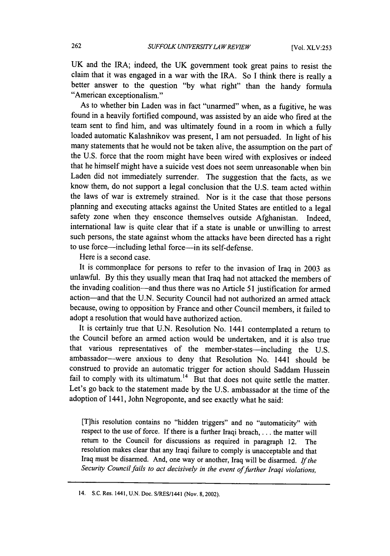UK and the IRA; indeed, the UK government took great pains to resist the claim that it was engaged in a war with the IRA. So I think there is really a better answer to the question "by what right" than the handy formula "American exceptionalism."

As to whether bin Laden was in fact "unarmed" when, as a fugitive, he was found in a heavily fortified compound, was assisted by an aide who fired at the team sent to find him, and was ultimately found in a room in which a fully loaded automatic Kalashnikov was present, I am not persuaded. In light of his many statements that he would not be taken alive, the assumption on the part of the U.S. force that the room might have been wired with explosives or indeed that he himself might have a suicide vest does not seem unreasonable when bin Laden did not immediately surrender. The suggestion that the facts, as we know them, do not support a legal conclusion that the U.S. team acted within the laws of war is extremely strained. Nor is it the case that those persons planning and executing attacks against the United States are entitled to a legal safety zone when they ensconce themselves outside Afghanistan. Indeed, international law is quite clear that if a state is unable or unwilling to arrest such persons, the state against whom the attacks have been directed has a right to use force-including lethal force-in its self-defense.

Here is a second case.

It is commonplace for persons to refer to the invasion of Iraq in 2003 as unlawful. By this they usually mean that Iraq had not attacked the members of the invading coalition-and thus there was no Article 51 justification for armed action-and that the U.N. Security Council had not authorized an armed attack because, owing to opposition by France and other Council members, it failed to adopt a resolution that would have authorized action.

It is certainly true that U.N. Resolution No. 1441 contemplated a return to the Council before an armed action would be undertaken, and it is also true that various representatives of the member-states-including the U.S. ambassador-were anxious to deny that Resolution No. 1441 should be construed to provide an automatic trigger for action should Saddam Hussein fail to comply with its ultimatum.<sup>14</sup> But that does not quite settle the matter. Let's go back to the statement made by the U.S. ambassador at the time of the adoption of 1441, John Negroponte, and see exactly what he said:

[T]his resolution contains no "hidden triggers" and no "automaticity" with respect to the use of force. If there is a further Iraqi breach,... the matter will return to the Council for discussions as required in paragraph 12. The resolution makes clear that any Iraqi failure to comply is unacceptable and that Iraq must be disarmed. And, one way or another, Iraq will be disarmed. *If the* Security Council fails to act decisively in the event of further Iraqi violations,

<sup>14.</sup> **S.C.** Res. 1441, **U.N.** Doc. S/RES/1441 (Nov. 8,2002).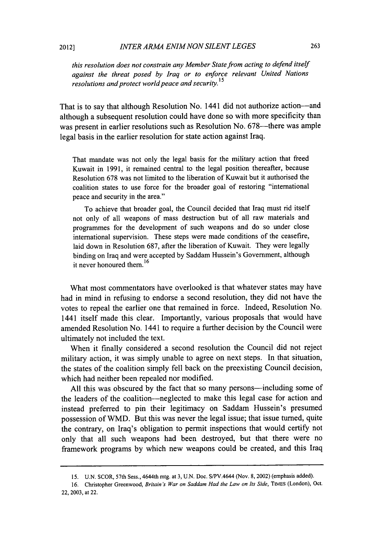*this resolution does not constrain any Member State from acting to defend itself against the threat posed by Iraq or to enforce relevant United Nations resolutions and protect world peace and security. <sup>15</sup>*

That is to say that although Resolution No. 1441 did not authorize action—and although a subsequent resolution could have done so with more specificity than was present in earlier resolutions such as Resolution No. 678—there was ample legal basis in the earlier resolution for state action against Iraq.

That mandate was not only the legal basis for the military action that freed Kuwait in 1991, it remained central to the legal position thereafter, because Resolution 678 was not limited to the liberation of Kuwait but it authorised the coalition states to use force for the broader goal of restoring "international peace and security in the area."

To achieve that broader goal, the Council decided that Iraq must rid itself not only of all weapons of mass destruction but of all raw materials and programmes for the development of such weapons and do so under close international supervision. These steps were made conditions of the ceasefire, laid down in Resolution 687, after the liberation of Kuwait. They were legally binding on Iraq and were accepted by Saddam Hussein's Government, although it never honoured them.<sup>16</sup>

What most commentators have overlooked is that whatever states may have had in mind in refusing to endorse a second resolution, they did not have the votes to repeal the earlier one that remained in force. Indeed, Resolution No. 1441 itself made this clear. Importantly, various proposals that would have amended Resolution No. 1441 to require a further decision by the Council were ultimately not included the text.

When it finally considered a second resolution the Council did not reject military action, it was simply unable to agree on next steps. In that situation, the states of the coalition simply fell back on the preexisting Council decision, which had neither been repealed nor modified.

All this was obscured by the fact that so many persons—including some of the leaders of the coalition-neglected to make this legal case for action and instead preferred to pin their legitimacy on Saddam Hussein's presumed possession of WMD. But this was never the legal issue; that issue turned, quite the contrary, on Iraq's obligation to permit inspections that would certify not only that all such weapons had been destroyed, but that there were no framework programs by which new weapons could be created, and this Iraq

<sup>15.</sup> U.N. SCOR, 57th Sess., 4644th mtg. at 3, U.N. Doc. S/PV.4644 (Nov. 8, 2002) (emphasis added).

<sup>16.</sup> Christopher Greenwood, *Britain's War on Saddam Had the Law on Its Side*, TIMES (London), Oct. 22, 2003, at 22.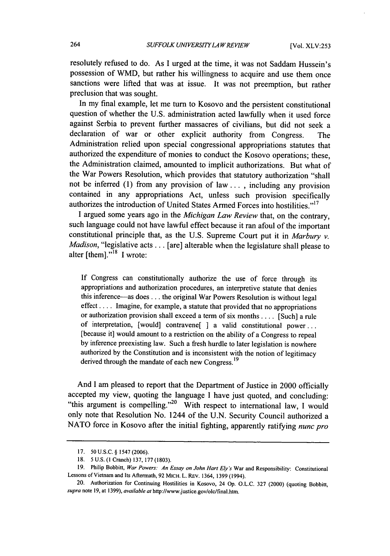resolutely refused to do. As I urged at the time, it was not Saddam Hussein's possession of WMD, but rather his willingness to acquire and use them once sanctions were lifted that was at issue. It was not preemption, but rather preclusion that was sought.

In my final example, let me turn to Kosovo and the persistent constitutional question of whether the U.S. administration acted lawfully when it used force against Serbia to prevent further massacres of civilians, but did not seek a declaration of war or other explicit authority from Congress. The Administration relied upon special congressional appropriations statutes that authorized the expenditure of monies to conduct the Kosovo operations; these, the Administration claimed, amounted to implicit authorizations. But what of the War Powers Resolution, which provides that statutory authorization "shall not be inferred (1) from any provision of law... , including any provision contained in any appropriations Act, unless such provision specifically authorizes the introduction of United States Armed Forces into hostilities."<sup>17</sup>

I argued some years ago in the *Michigan Law Review* that, on the contrary, such language could not have lawful effect because it ran afoul of the important constitutional principle that, as the U.S. Supreme Court put it in *Marbury v. Madison,* "legislative acts... [are] alterable when the legislature shall please to alter [them]. $n^{18}$  I wrote:

If Congress can constitutionally authorize the use of force through its appropriations and authorization procedures, an interpretive statute that denies this inference-as does **...** the original War Powers Resolution is without legal effect .... Imagine, for example, a statute that provided that no appropriations or authorization provision shall exceed a term of six months .... [Such] a rule of interpretation, [would] contravene[ **]** a valid constitutional power... [because it] would amount to a restriction on the ability of a Congress to repeal by inference preexisting law. Such a fresh hurdle to later legislation is nowhere authorized by the Constitution and is inconsistent with the notion of legitimacy derived through the mandate of each new Congress.<sup>19</sup>

And I am pleased to report that the Department of Justice in 2000 officially accepted my view, quoting the language I have just quoted, and concluding: "this argument is compelling."<sup>20</sup> With respect to international law, I would only note that Resolution No. 1244 of the U.N. Security Council authorized a NATO force in Kosovo after the initial fighting, apparently ratifying *nunc pro*

<sup>17. 50</sup> U.S.C. § 1547 (2006).

<sup>18.</sup> **5** U.S. **(I** Cranch) 137, 177 (1803).

**<sup>19.</sup>** Philip Bobbitt, *War Powers: An Essay on John Hart Ely's* War and Responsibility: Constitutional Lessons of Vietnam and Its Aftermath, 92 MICH. L. REv. 1364, 1399 (1994).

<sup>20.</sup> Authorization for Continuing Hostilities in Kosovo, 24 Op. O.L.C. 327 (2000) (quoting Bobbin, *supra* note 19, at 1399), available *at* http://www.justice.gov/olc/final.htm.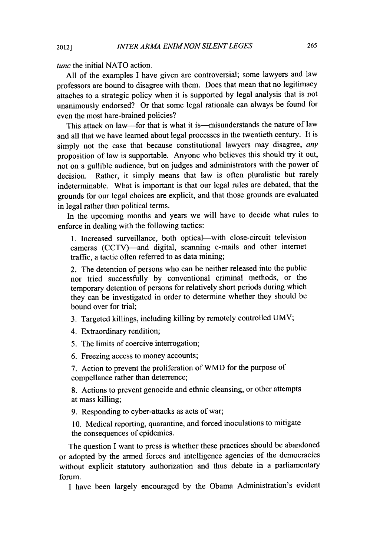*tunc* the initial **NATO** action.

**All** of the examples I have given are controversial; some lawyers and law professors are bound to disagree with them. Does that mean that no legitimacy attaches to a strategic policy when it is supported by legal analysis that is not unanimously endorsed? Or that some legal rationale can always be found for even the most hare-brained policies?

This attack on law-for that is what it is-misunderstands the nature of law and all that we have learned about legal processes in the twentieth century. It is simply not the case that because constitutional lawyers may disagree, *any* proposition of law is supportable. Anyone who believes this should try it out, not on a gullible audience, but on judges and administrators with the power of decision. Rather, it simply means that law is often pluralistic but rarely indeterminable. What is important is that our legal rules are debated, that the grounds for our legal choices are explicit, and that those grounds are evaluated in legal rather than political terms.

In the upcoming months and years we will have to decide what rules to enforce in dealing with the following tactics:

1. Increased surveillance, both optical-with close-circuit television cameras (CCTV)—and digital, scanning e-mails and other internet traffic, a tactic often referred to as data mining;

2. The detention of persons who can be neither released into the public nor tried successfully by conventional criminal methods, or the temporary detention of persons for relatively short periods during which they can be investigated in order to determine whether they should be bound over for trial;

- 3. Targeted killings, including killing by remotely controlled UMV;
- 4. Extraordinary rendition;
- 5. The limits of coercive interrogation;
- 6. Freezing access to money accounts;

7. Action to prevent the proliferation of WMD for the purpose of compellance rather than deterrence;

8. Actions to prevent genocide and ethnic cleansing, or other attempts at mass killing;

9. Responding to cyber-attacks as acts of war;

10. Medical reporting, quarantine, and forced inoculations to mitigate the consequences of epidemics.

The question I want to press is whether these practices should be abandoned or adopted by the armed forces and intelligence agencies of the democracies without explicit statutory authorization and thus debate in a parliamentary forum.

I have been largely encouraged by the Obama Administration's evident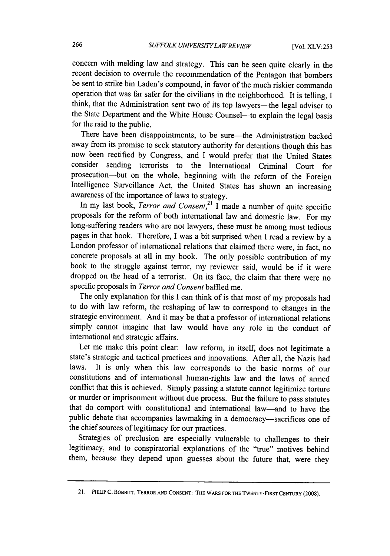concern with melding law and strategy. This can be seen quite clearly in the recent decision to overrule the recommendation of the Pentagon that bombers be sent to strike bin Laden's compound, in favor of the much riskier commando operation that was far safer for the civilians in the neighborhood. It is telling, I think, that the Administration sent two of its top lawyers—the legal adviser to the State Department and the White House Counsel—to explain the legal basis for the raid to the public.

There have been disappointments, to be sure-the Administration backed away from its promise to seek statutory authority for detentions though this has now been rectified by Congress, and I would prefer that the United States consider sending terrorists to the International Criminal Court for prosecution-but on the whole, beginning with the reform of the Foreign Intelligence Surveillance Act, the United States has shown an increasing awareness of the importance of laws to strategy.<br>In my last book, *Terror and Consent*,<sup>21</sup> I made a number of quite specific

proposals for the reform of both international law and domestic law. For my long-suffering readers who are not lawyers, these must be among most tedious pages in that book. Therefore, I was a bit surprised when I read a review by a London professor of international relations that claimed there were, in fact, no concrete proposals at all in my book. The only possible contribution of my book to the struggle against terror, my reviewer said, would be if it were dropped on the head of a terrorist. On its face, the claim that there were no specific proposals in *Terror and Consent* baffled me.

The only explanation for this I can think of is that most of my proposals had to do with law reform, the reshaping of law to correspond to changes in the strategic environment. And it may be that a professor of international relations simply cannot imagine that law would have any role in the conduct of international and strategic affairs.

Let me make this point clear: law reform, in itself, does not legitimate a state's strategic and tactical practices and innovations. After all, the Nazis had laws. It is only when this law corresponds to the basic norms of our constitutions and of international human-rights law and the laws of armed conflict that this is achieved. Simply passing a statute cannot legitimize torture or murder or imprisonment without due process. But the failure to pass statutes that do comport with constitutional and international law-and to have the public debate that accompanies lawmaking in a democracy-sacrifices one of the chief sources of legitimacy for our practices.

Strategies of preclusion are especially vulnerable to challenges to their legitimacy, and to conspiratorial explanations of the "true" motives behind them, because they depend upon guesses about the future that, were they

<sup>21.</sup> PHILIP **C. BOBBITT,** TERROR **AND CONSENT: THE** WARS FOR **THE** TWENTY-FIRST **CENTURY** (2008).